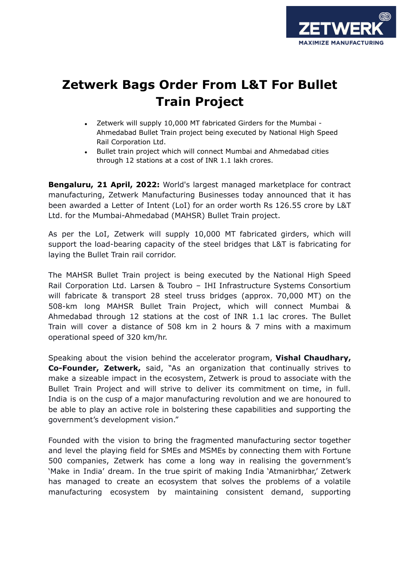

## **Zetwerk Bags Order From L&T For Bullet Train Project**

- Zetwerk will supply 10,000 MT fabricated Girders for the Mumbai -Ahmedabad Bullet Train project being executed by National High Speed Rail Corporation Ltd.
- Bullet train project which will connect Mumbai and Ahmedabad cities through 12 stations at a cost of INR 1.1 lakh crores.

**Bengaluru, 21 April, 2022:** World's largest managed marketplace for contract manufacturing, Zetwerk Manufacturing Businesses today announced that it has been awarded a Letter of Intent (LoI) for an order worth Rs 126.55 crore by L&T Ltd. for the Mumbai-Ahmedabad (MAHSR) Bullet Train project.

As per the LoI, Zetwerk will supply 10,000 MT fabricated girders, which will support the load-bearing capacity of the steel bridges that L&T is fabricating for laying the Bullet Train rail corridor.

The MAHSR Bullet Train project is being executed by the National High Speed Rail Corporation Ltd. Larsen & Toubro – IHI Infrastructure Systems Consortium will fabricate & transport 28 steel truss bridges (approx. 70,000 MT) on the 508-km long MAHSR Bullet Train Project, which will connect Mumbai & Ahmedabad through 12 stations at the cost of INR 1.1 lac crores. The Bullet Train will cover a distance of 508 km in 2 hours & 7 mins with a maximum operational speed of 320 km/hr.

Speaking about the vision behind the accelerator program, **Vishal Chaudhary, Co-Founder, Zetwerk,** said, "As an organization that continually strives to make a sizeable impact in the ecosystem, Zetwerk is proud to associate with the Bullet Train Project and will strive to deliver its commitment on time, in full. India is on the cusp of a major manufacturing revolution and we are honoured to be able to play an active role in bolstering these capabilities and supporting the government's development vision."

Founded with the vision to bring the fragmented manufacturing sector together and level the playing field for SMEs and MSMEs by connecting them with Fortune 500 companies, Zetwerk has come a long way in realising the government's 'Make in India' dream. In the true spirit of making India 'Atmanirbhar,' Zetwerk has managed to create an ecosystem that solves the problems of a volatile manufacturing ecosystem by maintaining consistent demand, supporting